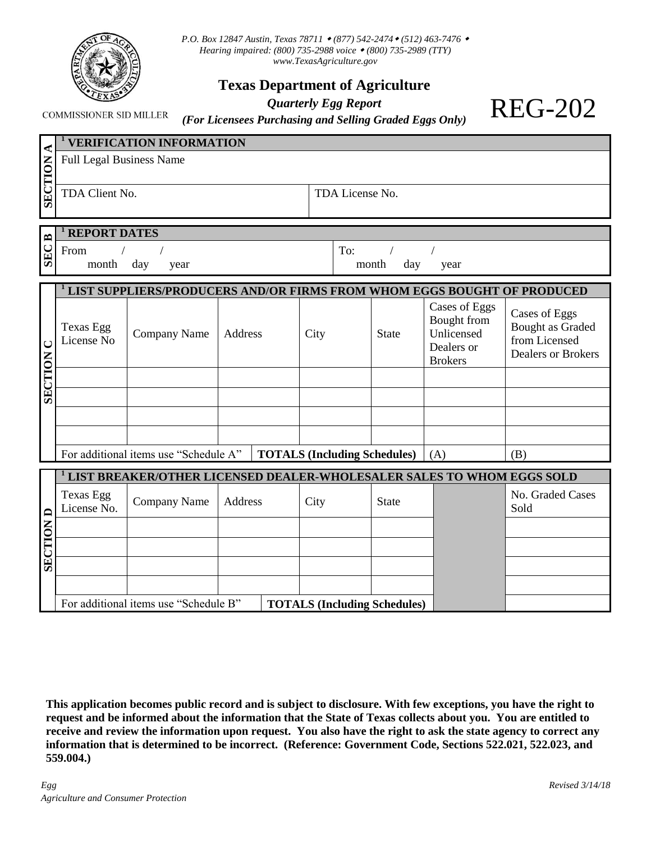

*P.O. Box 12847 Austin, Texas 78711 (877) 542-2474 (512) 463-7476 Hearing impaired: (800) 735-2988 voice (800) 735-2989 (TTY) www.TexasAgriculture.gov*

## **Texas Department of Agriculture**

## *Quarterly Egg Report*

**COMMISSIONER SID MILLER** 

| (For Licensees Purchasing and Selling Graded Eggs Only) |  |  |
|---------------------------------------------------------|--|--|

| ≺                    |                                 | <b>VERIFICATION INFORMATION</b>                                         |         |                |                 |                                     |                                                                            |                                                                                 |
|----------------------|---------------------------------|-------------------------------------------------------------------------|---------|----------------|-----------------|-------------------------------------|----------------------------------------------------------------------------|---------------------------------------------------------------------------------|
| SECTION              | <b>Full Legal Business Name</b> |                                                                         |         |                |                 |                                     |                                                                            |                                                                                 |
|                      | TDA Client No.                  |                                                                         |         |                | TDA License No. |                                     |                                                                            |                                                                                 |
|                      | <b>REPORT DATES</b>             |                                                                         |         |                |                 |                                     |                                                                            |                                                                                 |
| $\mathbf{p}$<br>SEC: | From<br>month                   | day<br>year                                                             |         |                | To:<br>month    | day                                 | year                                                                       |                                                                                 |
|                      |                                 | LIST SUPPLIERS/PRODUCERS AND/OR FIRMS FROM WHOM EGGS BOUGHT OF PRODUCED |         |                |                 |                                     |                                                                            |                                                                                 |
| $\cup$               | Texas Egg<br>License No         | Company Name                                                            | Address | City           |                 | <b>State</b>                        | Cases of Eggs<br>Bought from<br>Unlicensed<br>Dealers or<br><b>Brokers</b> | Cases of Eggs<br>Bought as Graded<br>from Licensed<br><b>Dealers or Brokers</b> |
| SECTION              |                                 |                                                                         |         |                |                 |                                     |                                                                            |                                                                                 |
|                      |                                 |                                                                         |         |                |                 |                                     |                                                                            |                                                                                 |
|                      |                                 |                                                                         |         |                |                 |                                     |                                                                            |                                                                                 |
|                      |                                 | For additional items use "Schedule A"                                   |         |                |                 | <b>TOTALS (Including Schedules)</b> | (A)                                                                        | (B)                                                                             |
|                      |                                 | LIST BREAKER/OTHER LICENSED DEALER-WHOLESALER SALES TO WHOM EGGS SOLD   |         |                |                 |                                     |                                                                            |                                                                                 |
|                      |                                 |                                                                         |         |                |                 |                                     |                                                                            |                                                                                 |
|                      | Texas Egg                       | Company Namo Address                                                    |         | $C_{\rm{itv}}$ |                 | $C_{\text{total}}$                  |                                                                            | No. Graded Cases                                                                |

|            |                          | LIST BREAKER/OTHER LICENSED DEALER-WHOLESALER SALES TO WHOM EGGS SOLD |         |                                     |              |                          |
|------------|--------------------------|-----------------------------------------------------------------------|---------|-------------------------------------|--------------|--------------------------|
| ≏          | Texas Egg<br>License No. | Company Name                                                          | Address | City                                | <b>State</b> | No. Graded Cases<br>Sold |
| 7          |                          |                                                                       |         |                                     |              |                          |
| MOLL       |                          |                                                                       |         |                                     |              |                          |
| <b>SEC</b> |                          |                                                                       |         |                                     |              |                          |
|            |                          |                                                                       |         |                                     |              |                          |
|            |                          | For additional items use "Schedule B"                                 |         | <b>TOTALS (Including Schedules)</b> |              |                          |

**This application becomes public record and is subject to disclosure. With few exceptions, you have the right to request and be informed about the information that the State of Texas collects about you. You are entitled to receive and review the information upon request. You also have the right to ask the state agency to correct any information that is determined to be incorrect. (Reference: Government Code, Sections 522.021, 522.023, and 559.004.)**

REG-202